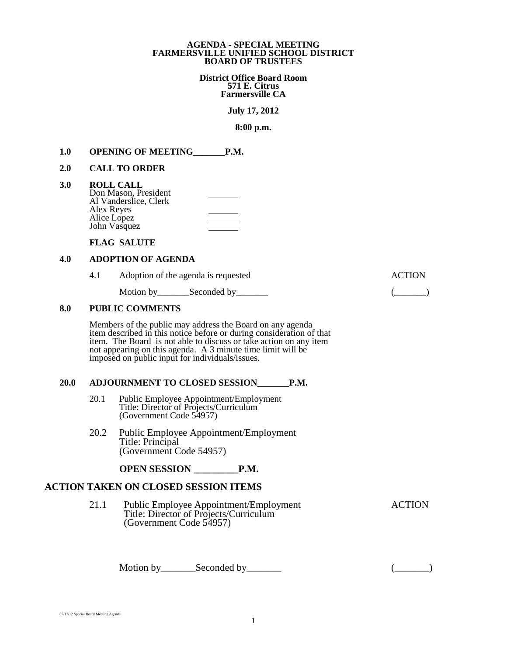#### **AGENDA - SPECIAL MEETING FARMERSVILLE UNIFIED SCHOOL DISTRICT BOARD OF TRUSTEES**

**District Office Board Room 571 E. Citrus Farmersville CA** 

**July 17, 2012**

**8:00 p.m.**

### 1.0 **OPENING OF MEETING** P.M.

#### **2.0 CALL TO ORDER**

| 3.0 | <b>ROLL CALL</b>      |  |
|-----|-----------------------|--|
|     | Don Mason, President  |  |
|     | Al Vanderslice, Clerk |  |
|     | Alex Reyes            |  |
|     | Alice Lopez           |  |
|     | John Vasquez          |  |

### **FLAG SALUTE**

## **4.0 ADOPTION OF AGENDA**

4.1 Adoption of the agenda is requested ACTION

Motion by Seconded by Geonded by (Company (Company (Company (Company (Company (Company (Company (Company (Company (Company (Company (Company (Company (Company (Company (Company (Company (Company (Company (Company (Company

#### **8.0 PUBLIC COMMENTS**

Members of the public may address the Board on any agenda item described in this notice before or during consideration of that item. The Board is not able to discuss or take action on any item not appearing on this agenda. A 3 minute time limit will be imposed on public input for individuals/issues.

#### **20.0 ADJOURNMENT TO CLOSED SESSION\_\_\_\_\_\_\_P.M.**

- 20.1 Public Employee Appointment/Employment Title: Director of Projects/Curriculum (Government Code 54957)
- 20.2 Public Employee Appointment/Employment Title: Principal (Government Code 54957)

## **OPEN SESSION \_\_\_\_\_\_\_\_\_P.M.**

# **21.1 ACTION TAKEN ON CLOSED SESSION ITEMS**

21.1 Public Employee Appointment/Employment ACTION Title: Director of Projects/Curriculum (Government Code 54957)

Motion by\_\_\_\_\_\_\_Seconded by\_\_\_\_\_\_\_ (\_\_\_\_\_\_\_)

```
07/17/12 Special Board Meeting Agenda
```